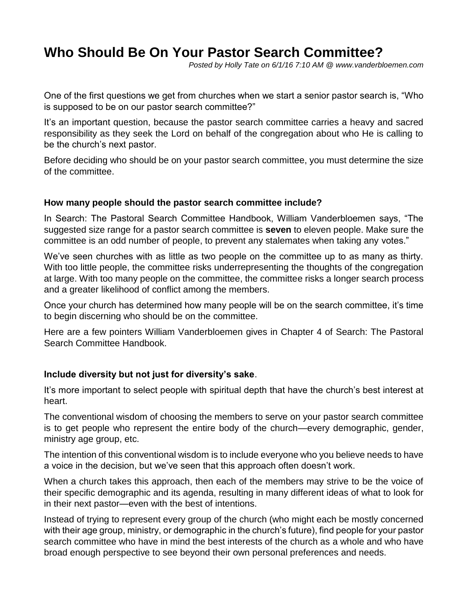# **Who Should Be On Your Pastor Search Committee?**

*Posted by Holly Tate on 6/1/16 7:10 AM @ www.vanderbloemen.com*

One of the first questions we get from churches when we start a senior pastor search is, "Who is supposed to be on our pastor search committee?"

It's an important question, because the pastor search committee carries a heavy and sacred responsibility as they seek the Lord on behalf of the congregation about who He is calling to be the church's next pastor.

Before deciding who should be on your pastor search committee, you must determine the size of the committee.

#### **How many people should the pastor search committee include?**

In Search: The Pastoral Search Committee Handbook, William Vanderbloemen says, "The suggested size range for a pastor search committee is **seven** to eleven people. Make sure the committee is an odd number of people, to prevent any stalemates when taking any votes."

We've seen churches with as little as two people on the committee up to as many as thirty. With too little people, the committee risks underrepresenting the thoughts of the congregation at large. With too many people on the committee, the committee risks a longer search process and a greater likelihood of conflict among the members.

Once your church has determined how many people will be on the search committee, it's time to begin discerning who should be on the committee.

Here are a few pointers William Vanderbloemen gives in Chapter 4 of Search: The Pastoral Search Committee Handbook.

#### **Include diversity but not just for diversity's sake**.

It's more important to select people with spiritual depth that have the church's best interest at heart.

The conventional wisdom of choosing the members to serve on your pastor search committee is to get people who represent the entire body of the church—every demographic, gender, ministry age group, etc.

The intention of this conventional wisdom is to include everyone who you believe needs to have a voice in the decision, but we've seen that this approach often doesn't work.

When a church takes this approach, then each of the members may strive to be the voice of their specific demographic and its agenda, resulting in many different ideas of what to look for in their next pastor—even with the best of intentions.

Instead of trying to represent every group of the church (who might each be mostly concerned with their age group, ministry, or demographic in the church's future), find people for your pastor search committee who have in mind the best interests of the church as a whole and who have broad enough perspective to see beyond their own personal preferences and needs.